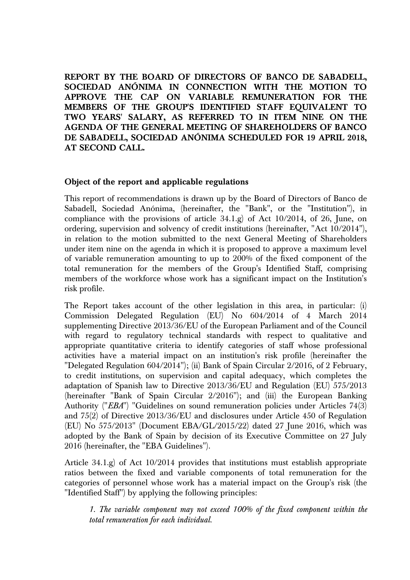**REPORT BY THE BOARD OF DIRECTORS OF BANCO DE SABADELL, SOCIEDAD ANÓNIMA IN CONNECTION WITH THE MOTION TO APPROVE THE CAP ON VARIABLE REMUNERATION FOR THE MEMBERS OF THE GROUP'S IDENTIFIED STAFF EQUIVALENT TO TWO YEARS' SALARY, AS REFERRED TO IN ITEM NINE ON THE AGENDA OF THE GENERAL MEETING OF SHAREHOLDERS OF BANCO DE SABADELL, SOCIEDAD ANÓNIMA SCHEDULED FOR 19 APRIL 2018, AT SECOND CALL.**

## **Object of the report and applicable regulations**

This report of recommendations is drawn up by the Board of Directors of Banco de Sabadell, Sociedad Anónima, (hereinafter, the "Bank", or the "Institution"), in compliance with the provisions of article 34.1.g) of Act 10/2014, of 26, June, on ordering, supervision and solvency of credit institutions (hereinafter, "Act 10/2014"), in relation to the motion submitted to the next General Meeting of Shareholders under item nine on the agenda in which it is proposed to approve a maximum level of variable remuneration amounting to up to 200% of the fixed component of the total remuneration for the members of the Group's Identified Staff, comprising members of the workforce whose work has a significant impact on the Institution's risk profile.

The Report takes account of the other legislation in this area, in particular: (i) Commission Delegated Regulation (EU) No 604/2014 of 4 March 2014 supplementing Directive 2013/36/EU of the European Parliament and of the Council with regard to regulatory technical standards with respect to qualitative and appropriate quantitative criteria to identify categories of staff whose professional activities have a material impact on an institution's risk profile (hereinafter the "Delegated Regulation 604/2014"); (ii) Bank of Spain Circular 2/2016, of 2 February, to credit institutions, on supervision and capital adequacy, which completes the adaptation of Spanish law to Directive 2013/36/EU and Regulation (EU) 575/2013 (hereinafter "Bank of Spain Circular 2/2016"); and (iii) the European Banking Authority ("*EBA*") "Guidelines on sound remuneration policies under Articles 74(3) and 75(2) of Directive 2013/36/EU and disclosures under Article 450 of Regulation (EU) No 575/2013" (Document EBA/GL/2015/22) dated 27 June 2016, which was adopted by the Bank of Spain by decision of its Executive Committee on 27 July 2016 (hereinafter, the "EBA Guidelines").

Article 34.1.g) of Act 10/2014 provides that institutions must establish appropriate ratios between the fixed and variable components of total remuneration for the categories of personnel whose work has a material impact on the Group's risk (the "Identified Staff") by applying the following principles:

*1. The variable component may not exceed 100% of the fixed component within the total remuneration for each individual.*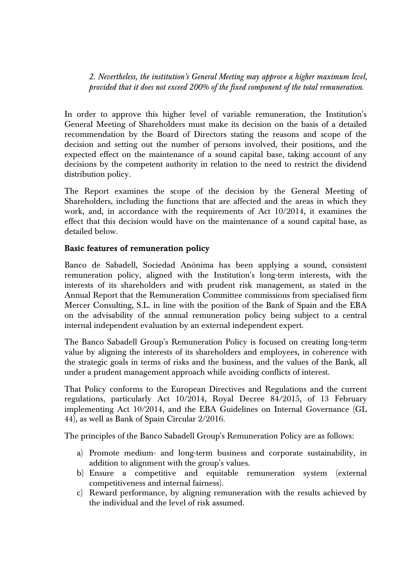*2. Nevertheless, the institution's General Meeting may approve a higher maximum level, provided that it does not exceed 200% of the fixed component of the total remuneration*.

In order to approve this higher level of variable remuneration, the Institution's General Meeting of Shareholders must make its decision on the basis of a detailed recommendation by the Board of Directors stating the reasons and scope of the decision and setting out the number of persons involved, their positions, and the expected effect on the maintenance of a sound capital base, taking account of any decisions by the competent authority in relation to the need to restrict the dividend distribution policy.

The Report examines the scope of the decision by the General Meeting of Shareholders, including the functions that are affected and the areas in which they work, and, in accordance with the requirements of Act 10/2014, it examines the effect that this decision would have on the maintenance of a sound capital base, as detailed below.

## **Basic features of remuneration policy**

Banco de Sabadell, Sociedad Anónima has been applying a sound, consistent remuneration policy, aligned with the Institution's long-term interests, with the interests of its shareholders and with prudent risk management, as stated in the Annual Report that the Remuneration Committee commissions from specialised firm Mercer Consulting, S.L. in line with the position of the Bank of Spain and the EBA on the advisability of the annual remuneration policy being subject to a central internal independent evaluation by an external independent expert.

The Banco Sabadell Group's Remuneration Policy is focused on creating long-term value by aligning the interests of its shareholders and employees, in coherence with the strategic goals in terms of risks and the business, and the values of the Bank, all under a prudent management approach while avoiding conflicts of interest.

That Policy conforms to the European Directives and Regulations and the current regulations, particularly Act 10/2014, Royal Decree 84/2015, of 13 February implementing Act 10/2014, and the EBA Guidelines on Internal Governance (GL 44), as well as Bank of Spain Circular 2/2016.

The principles of the Banco Sabadell Group's Remuneration Policy are as follows:

- a) Promote medium- and long-term business and corporate sustainability, in addition to alignment with the group's values.
- b) Ensure a competitive and equitable remuneration system (external competitiveness and internal fairness).
- c) Reward performance, by aligning remuneration with the results achieved by the individual and the level of risk assumed.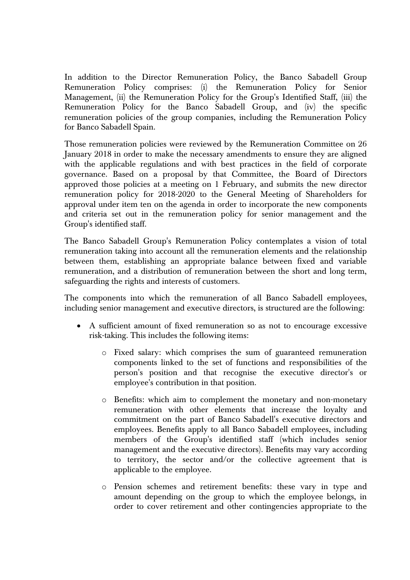In addition to the Director Remuneration Policy, the Banco Sabadell Group Remuneration Policy comprises: (i) the Remuneration Policy for Senior Management, (ii) the Remuneration Policy for the Group's Identified Staff, (iii) the Remuneration Policy for the Banco Sabadell Group, and (iv) the specific remuneration policies of the group companies, including the Remuneration Policy for Banco Sabadell Spain.

Those remuneration policies were reviewed by the Remuneration Committee on 26 January 2018 in order to make the necessary amendments to ensure they are aligned with the applicable regulations and with best practices in the field of corporate governance. Based on a proposal by that Committee, the Board of Directors approved those policies at a meeting on 1 February, and submits the new director remuneration policy for 2018-2020 to the General Meeting of Shareholders for approval under item ten on the agenda in order to incorporate the new components and criteria set out in the remuneration policy for senior management and the Group's identified staff.

The Banco Sabadell Group's Remuneration Policy contemplates a vision of total remuneration taking into account all the remuneration elements and the relationship between them, establishing an appropriate balance between fixed and variable remuneration, and a distribution of remuneration between the short and long term, safeguarding the rights and interests of customers.

The components into which the remuneration of all Banco Sabadell employees, including senior management and executive directors, is structured are the following:

- A sufficient amount of fixed remuneration so as not to encourage excessive risk-taking. This includes the following items:
	- o Fixed salary: which comprises the sum of guaranteed remuneration components linked to the set of functions and responsibilities of the person's position and that recognise the executive director's or employee's contribution in that position.
	- o Benefits: which aim to complement the monetary and non-monetary remuneration with other elements that increase the loyalty and commitment on the part of Banco Sabadell's executive directors and employees. Benefits apply to all Banco Sabadell employees, including members of the Group's identified staff (which includes senior management and the executive directors). Benefits may vary according to territory, the sector and/or the collective agreement that is applicable to the employee.
	- o Pension schemes and retirement benefits: these vary in type and amount depending on the group to which the employee belongs, in order to cover retirement and other contingencies appropriate to the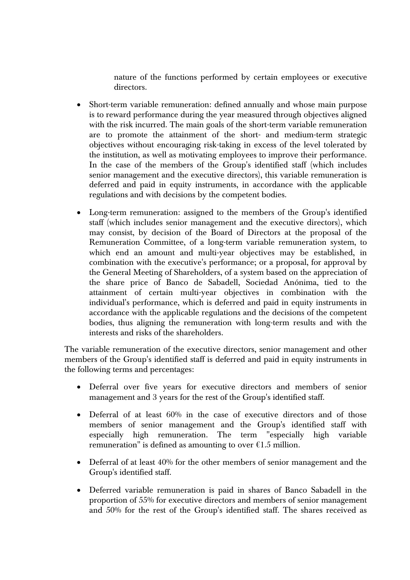nature of the functions performed by certain employees or executive directors.

- Short-term variable remuneration: defined annually and whose main purpose is to reward performance during the year measured through objectives aligned with the risk incurred. The main goals of the short-term variable remuneration are to promote the attainment of the short- and medium-term strategic objectives without encouraging risk-taking in excess of the level tolerated by the institution, as well as motivating employees to improve their performance. In the case of the members of the Group's identified staff (which includes senior management and the executive directors), this variable remuneration is deferred and paid in equity instruments, in accordance with the applicable regulations and with decisions by the competent bodies.
- Long-term remuneration: assigned to the members of the Group's identified staff (which includes senior management and the executive directors), which may consist, by decision of the Board of Directors at the proposal of the Remuneration Committee, of a long-term variable remuneration system, to which end an amount and multi-year objectives may be established, in combination with the executive's performance; or a proposal, for approval by the General Meeting of Shareholders, of a system based on the appreciation of the share price of Banco de Sabadell, Sociedad Anónima, tied to the attainment of certain multi-year objectives in combination with the individual's performance, which is deferred and paid in equity instruments in accordance with the applicable regulations and the decisions of the competent bodies, thus aligning the remuneration with long-term results and with the interests and risks of the shareholders.

The variable remuneration of the executive directors, senior management and other members of the Group's identified staff is deferred and paid in equity instruments in the following terms and percentages:

- Deferral over five years for executive directors and members of senior management and 3 years for the rest of the Group's identified staff.
- Deferral of at least 60% in the case of executive directors and of those members of senior management and the Group's identified staff with especially high remuneration. The term "especially high variable remuneration" is defined as amounting to over  $\epsilon$ 1.5 million.
- Deferral of at least 40% for the other members of senior management and the Group's identified staff.
- Deferred variable remuneration is paid in shares of Banco Sabadell in the proportion of 55% for executive directors and members of senior management and 50% for the rest of the Group's identified staff. The shares received as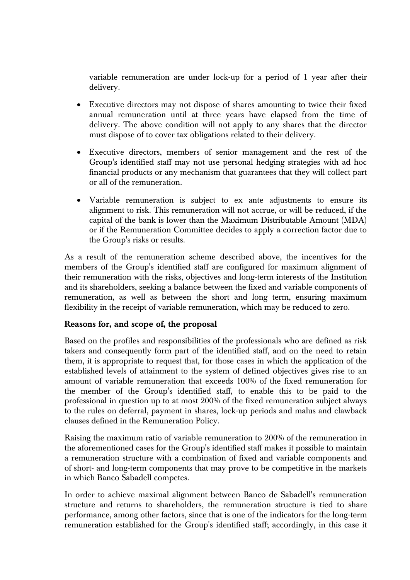variable remuneration are under lock-up for a period of 1 year after their delivery.

- Executive directors may not dispose of shares amounting to twice their fixed annual remuneration until at three years have elapsed from the time of delivery. The above condition will not apply to any shares that the director must dispose of to cover tax obligations related to their delivery.
- Executive directors, members of senior management and the rest of the Group's identified staff may not use personal hedging strategies with ad hoc financial products or any mechanism that guarantees that they will collect part or all of the remuneration.
- Variable remuneration is subject to ex ante adjustments to ensure its alignment to risk. This remuneration will not accrue, or will be reduced, if the capital of the bank is lower than the Maximum Distributable Amount (MDA) or if the Remuneration Committee decides to apply a correction factor due to the Group's risks or results.

As a result of the remuneration scheme described above, the incentives for the members of the Group's identified staff are configured for maximum alignment of their remuneration with the risks, objectives and long-term interests of the Institution and its shareholders, seeking a balance between the fixed and variable components of remuneration, as well as between the short and long term, ensuring maximum flexibility in the receipt of variable remuneration, which may be reduced to zero.

## **Reasons for, and scope of, the proposal**

Based on the profiles and responsibilities of the professionals who are defined as risk takers and consequently form part of the identified staff, and on the need to retain them, it is appropriate to request that, for those cases in which the application of the established levels of attainment to the system of defined objectives gives rise to an amount of variable remuneration that exceeds 100% of the fixed remuneration for the member of the Group's identified staff, to enable this to be paid to the professional in question up to at most 200% of the fixed remuneration subject always to the rules on deferral, payment in shares, lock-up periods and malus and clawback clauses defined in the Remuneration Policy.

Raising the maximum ratio of variable remuneration to 200% of the remuneration in the aforementioned cases for the Group's identified staff makes it possible to maintain a remuneration structure with a combination of fixed and variable components and of short- and long-term components that may prove to be competitive in the markets in which Banco Sabadell competes.

In order to achieve maximal alignment between Banco de Sabadell's remuneration structure and returns to shareholders, the remuneration structure is tied to share performance, among other factors, since that is one of the indicators for the long-term remuneration established for the Group's identified staff; accordingly, in this case it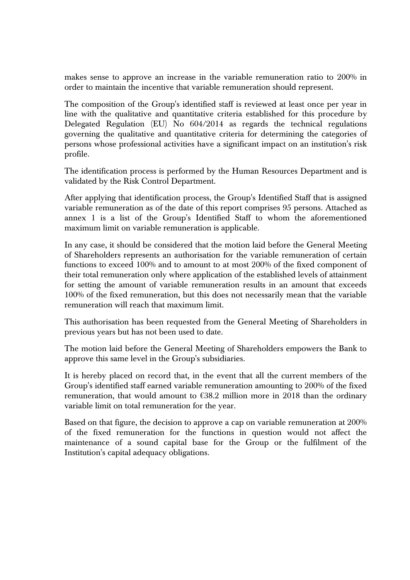makes sense to approve an increase in the variable remuneration ratio to 200% in order to maintain the incentive that variable remuneration should represent.

The composition of the Group's identified staff is reviewed at least once per year in line with the qualitative and quantitative criteria established for this procedure by Delegated Regulation (EU) No 604/2014 as regards the technical regulations governing the qualitative and quantitative criteria for determining the categories of persons whose professional activities have a significant impact on an institution's risk profile.

The identification process is performed by the Human Resources Department and is validated by the Risk Control Department.

After applying that identification process, the Group's Identified Staff that is assigned variable remuneration as of the date of this report comprises 95 persons. Attached as annex 1 is a list of the Group's Identified Staff to whom the aforementioned maximum limit on variable remuneration is applicable.

In any case, it should be considered that the motion laid before the General Meeting of Shareholders represents an authorisation for the variable remuneration of certain functions to exceed 100% and to amount to at most 200% of the fixed component of their total remuneration only where application of the established levels of attainment for setting the amount of variable remuneration results in an amount that exceeds 100% of the fixed remuneration, but this does not necessarily mean that the variable remuneration will reach that maximum limit.

This authorisation has been requested from the General Meeting of Shareholders in previous years but has not been used to date.

The motion laid before the General Meeting of Shareholders empowers the Bank to approve this same level in the Group's subsidiaries.

It is hereby placed on record that, in the event that all the current members of the Group's identified staff earned variable remuneration amounting to 200% of the fixed remuneration, that would amount to  $\epsilon$ 38.2 million more in 2018 than the ordinary variable limit on total remuneration for the year.

Based on that figure, the decision to approve a cap on variable remuneration at 200% of the fixed remuneration for the functions in question would not affect the maintenance of a sound capital base for the Group or the fulfilment of the Institution's capital adequacy obligations.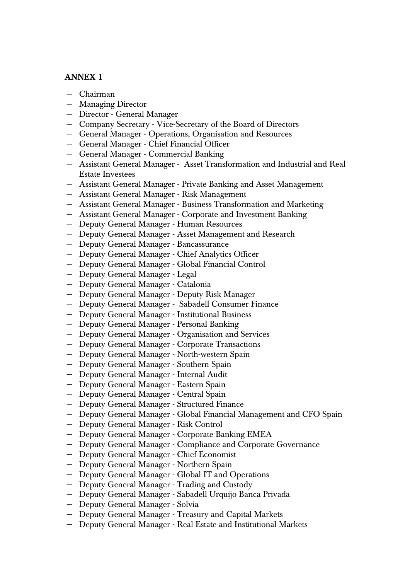## **ANNEX 1**

- − Chairman
- − Managing Director
- − Director General Manager
- − Company Secretary Vice-Secretary of the Board of Directors
- − General Manager Operations, Organisation and Resources
- − General Manager Chief Financial Officer
- − General Manager Commercial Banking
- − Assistant General Manager Asset Transformation and Industrial and Real Estate Investees
- − Assistant General Manager Private Banking and Asset Management
- − Assistant General Manager Risk Management
- − Assistant General Manager Business Transformation and Marketing
- − Assistant General Manager Corporate and Investment Banking
- − Deputy General Manager Human Resources
- − Deputy General Manager Asset Management and Research
- − Deputy General Manager Bancassurance
- − Deputy General Manager Chief Analytics Officer
- − Deputy General Manager Global Financial Control
- − Deputy General Manager Legal
- − Deputy General Manager Catalonia
- − Deputy General Manager Deputy Risk Manager
- − Deputy General Manager Sabadell Consumer Finance
- − Deputy General Manager Institutional Business
- − Deputy General Manager Personal Banking
- − Deputy General Manager Organisation and Services
- − Deputy General Manager Corporate Transactions
- − Deputy General Manager North-western Spain
- − Deputy General Manager Southern Spain
- − Deputy General Manager Internal Audit
- − Deputy General Manager Eastern Spain
- − Deputy General Manager Central Spain
- − Deputy General Manager Structured Finance
- − Deputy General Manager Global Financial Management and CFO Spain
- − Deputy General Manager Risk Control
- − Deputy General Manager Corporate Banking EMEA
- − Deputy General Manager Compliance and Corporate Governance
- − Deputy General Manager Chief Economist
- − Deputy General Manager Northern Spain
- − Deputy General Manager Global IT and Operations
- − Deputy General Manager Trading and Custody
- − Deputy General Manager Sabadell Urquijo Banca Privada
- − Deputy General Manager Solvia
- − Deputy General Manager Treasury and Capital Markets
- − Deputy General Manager Real Estate and Institutional Markets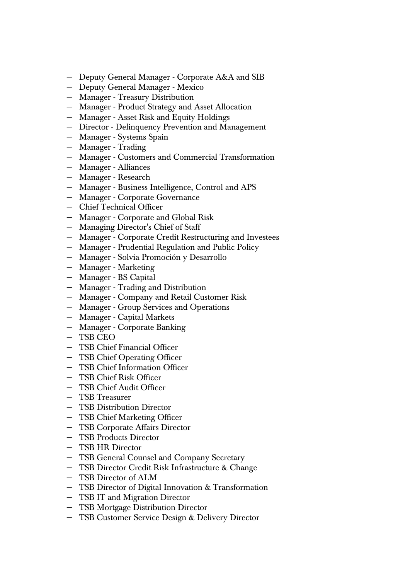- − Deputy General Manager Corporate A&A and SIB
- − Deputy General Manager Mexico
- − Manager Treasury Distribution
- − Manager Product Strategy and Asset Allocation
- − Manager Asset Risk and Equity Holdings
- − Director Delinquency Prevention and Management
- − Manager Systems Spain
- − Manager Trading
- − Manager Customers and Commercial Transformation
- − Manager Alliances
- − Manager Research
- − Manager Business Intelligence, Control and APS
- − Manager Corporate Governance
- − Chief Technical Officer
- − Manager Corporate and Global Risk
- − Managing Director's Chief of Staff
- − Manager Corporate Credit Restructuring and Investees
- − Manager Prudential Regulation and Public Policy
- − Manager Solvia Promoción y Desarrollo
- − Manager Marketing
- − Manager BS Capital
- − Manager Trading and Distribution
- − Manager Company and Retail Customer Risk
- − Manager Group Services and Operations
- − Manager Capital Markets
- − Manager Corporate Banking
- − TSB CEO
- − TSB Chief Financial Officer
- − TSB Chief Operating Officer
- − TSB Chief Information Officer
- − TSB Chief Risk Officer
- − TSB Chief Audit Officer
- − TSB Treasurer
- − TSB Distribution Director
- − TSB Chief Marketing Officer
- − TSB Corporate Affairs Director
- − TSB Products Director
- − TSB HR Director
- − TSB General Counsel and Company Secretary
- − TSB Director Credit Risk Infrastructure & Change
- − TSB Director of ALM
- − TSB Director of Digital Innovation & Transformation
- − TSB IT and Migration Director
- − TSB Mortgage Distribution Director
- − TSB Customer Service Design & Delivery Director